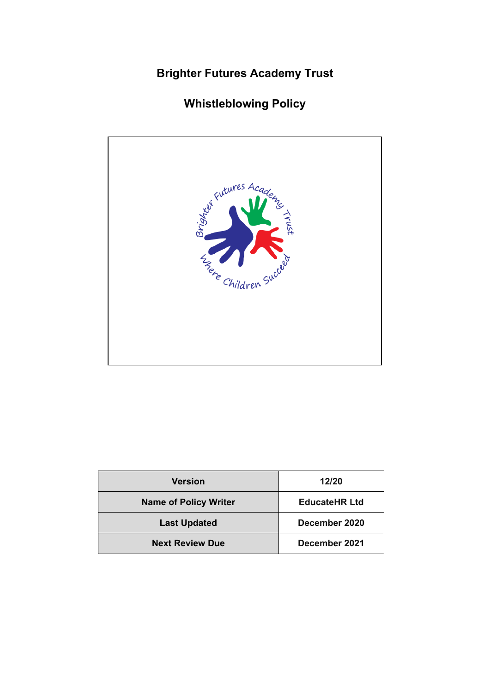# **Brighter Futures Academy Trust**

# **Whistleblowing Policy**



| <b>Version</b>               | 12/20                |
|------------------------------|----------------------|
| <b>Name of Policy Writer</b> | <b>EducateHR Ltd</b> |
| <b>Last Updated</b>          | December 2020        |
| <b>Next Review Due</b>       | December 2021        |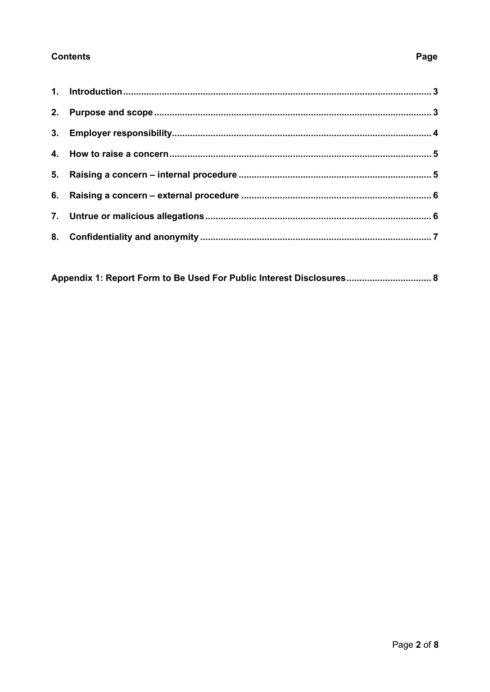### **Contents**

### Page

|  | Appendix 1: Report Form to Be Used For Public Interest Disclosures 8 |
|--|----------------------------------------------------------------------|
|--|----------------------------------------------------------------------|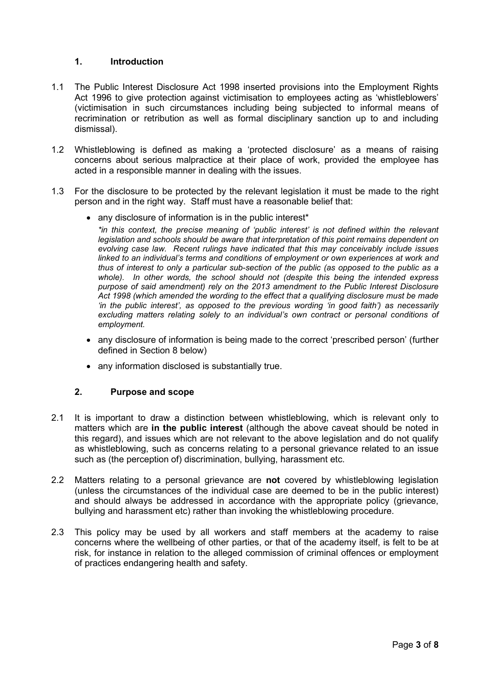#### <span id="page-2-0"></span>**1. Introduction**

- 1.1 The Public Interest Disclosure Act 1998 inserted provisions into the Employment Rights Act 1996 to give protection against victimisation to employees acting as 'whistleblowers' (victimisation in such circumstances including being subjected to informal means of recrimination or retribution as well as formal disciplinary sanction up to and including dismissal).
- 1.2 Whistleblowing is defined as making a 'protected disclosure' as a means of raising concerns about serious malpractice at their place of work, provided the employee has acted in a responsible manner in dealing with the issues.
- 1.3 For the disclosure to be protected by the relevant legislation it must be made to the right person and in the right way. Staff must have a reasonable belief that:
	- any disclosure of information is in the public interest\*

*\*in this context, the precise meaning of 'public interest' is not defined within the relevant legislation and schools should be aware that interpretation of this point remains dependent on evolving case law. Recent rulings have indicated that this may conceivably include issues*  linked to an individual's terms and conditions of employment or own experiences at work and *thus of interest to only a particular sub-section of the public (as opposed to the public as a whole). In other words, the school should not (despite this being the intended express purpose of said amendment) rely on the 2013 amendment to the Public Interest Disclosure Act 1998 (which amended the wording to the effect that a qualifying disclosure must be made 'in the public interest', as opposed to the previous wording 'in good faith') as necessarily*  excluding matters relating solely to an individual's own contract or personal conditions of *employment.*

- any disclosure of information is being made to the correct 'prescribed person' (further defined in Section 8 below)
- any information disclosed is substantially true.

#### <span id="page-2-1"></span>**2. Purpose and scope**

- 2.1 It is important to draw a distinction between whistleblowing, which is relevant only to matters which are **in the public interest** (although the above caveat should be noted in this regard), and issues which are not relevant to the above legislation and do not qualify as whistleblowing, such as concerns relating to a personal grievance related to an issue such as (the perception of) discrimination, bullying, harassment etc.
- 2.2 Matters relating to a personal grievance are **not** covered by whistleblowing legislation (unless the circumstances of the individual case are deemed to be in the public interest) and should always be addressed in accordance with the appropriate policy (grievance, bullying and harassment etc) rather than invoking the whistleblowing procedure.
- 2.3 This policy may be used by all workers and staff members at the academy to raise concerns where the wellbeing of other parties, or that of the academy itself, is felt to be at risk, for instance in relation to the alleged commission of criminal offences or employment of practices endangering health and safety.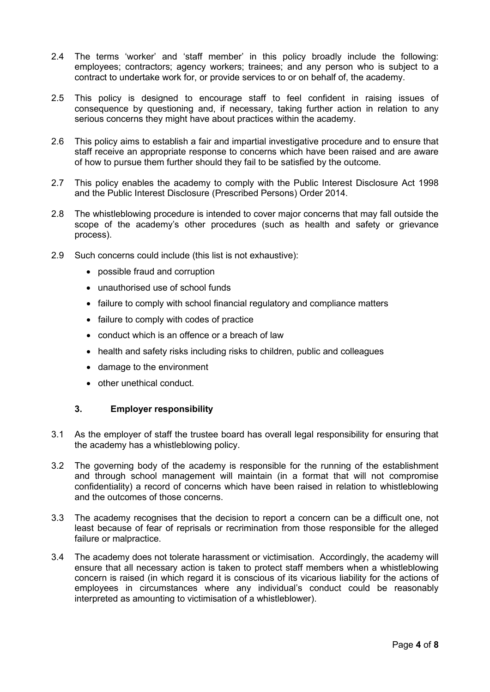- 2.4 The terms 'worker' and 'staff member' in this policy broadly include the following: employees; contractors; agency workers; trainees; and any person who is subject to a contract to undertake work for, or provide services to or on behalf of, the academy.
- 2.5 This policy is designed to encourage staff to feel confident in raising issues of consequence by questioning and, if necessary, taking further action in relation to any serious concerns they might have about practices within the academy.
- 2.6 This policy aims to establish a fair and impartial investigative procedure and to ensure that staff receive an appropriate response to concerns which have been raised and are aware of how to pursue them further should they fail to be satisfied by the outcome.
- 2.7 This policy enables the academy to comply with the Public Interest Disclosure Act 1998 and the Public Interest Disclosure (Prescribed Persons) Order 2014.
- 2.8 The whistleblowing procedure is intended to cover major concerns that may fall outside the scope of the academy's other procedures (such as health and safety or grievance process).
- 2.9 Such concerns could include (this list is not exhaustive):
	- possible fraud and corruption
	- unauthorised use of school funds
	- failure to comply with school financial regulatory and compliance matters
	- failure to comply with codes of practice
	- conduct which is an offence or a breach of law
	- health and safety risks including risks to children, public and colleagues
	- damage to the environment
	- other unethical conduct.

#### <span id="page-3-0"></span>**3. Employer responsibility**

- 3.1 As the employer of staff the trustee board has overall legal responsibility for ensuring that the academy has a whistleblowing policy.
- 3.2 The governing body of the academy is responsible for the running of the establishment and through school management will maintain (in a format that will not compromise confidentiality) a record of concerns which have been raised in relation to whistleblowing and the outcomes of those concerns.
- 3.3 The academy recognises that the decision to report a concern can be a difficult one, not least because of fear of reprisals or recrimination from those responsible for the alleged failure or malpractice.
- 3.4 The academy does not tolerate harassment or victimisation. Accordingly, the academy will ensure that all necessary action is taken to protect staff members when a whistleblowing concern is raised (in which regard it is conscious of its vicarious liability for the actions of employees in circumstances where any individual's conduct could be reasonably interpreted as amounting to victimisation of a whistleblower).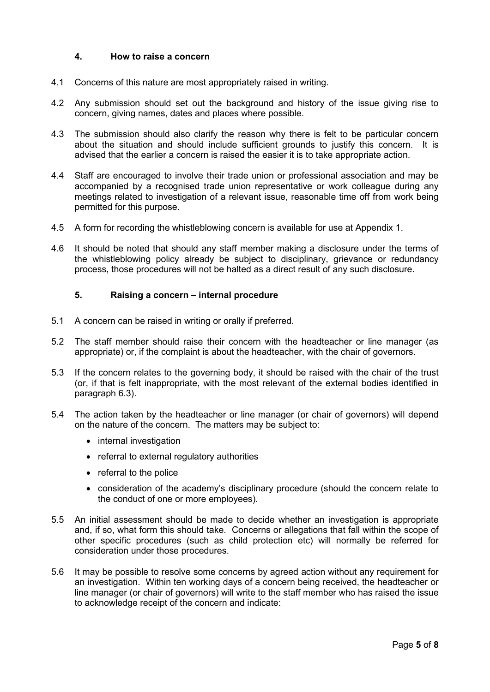#### <span id="page-4-0"></span>**4. How to raise a concern**

- 4.1 Concerns of this nature are most appropriately raised in writing.
- 4.2 Any submission should set out the background and history of the issue giving rise to concern, giving names, dates and places where possible.
- 4.3 The submission should also clarify the reason why there is felt to be particular concern about the situation and should include sufficient grounds to justify this concern. It is advised that the earlier a concern is raised the easier it is to take appropriate action.
- 4.4 Staff are encouraged to involve their trade union or professional association and may be accompanied by a recognised trade union representative or work colleague during any meetings related to investigation of a relevant issue, reasonable time off from work being permitted for this purpose.
- 4.5 A form for recording the whistleblowing concern is available for use at Appendix 1.
- 4.6 It should be noted that should any staff member making a disclosure under the terms of the whistleblowing policy already be subject to disciplinary, grievance or redundancy process, those procedures will not be halted as a direct result of any such disclosure.

#### <span id="page-4-1"></span>**5. Raising a concern – internal procedure**

- 5.1 A concern can be raised in writing or orally if preferred.
- 5.2 The staff member should raise their concern with the headteacher or line manager (as appropriate) or, if the complaint is about the headteacher, with the chair of governors.
- 5.3 If the concern relates to the governing body, it should be raised with the chair of the trust (or, if that is felt inappropriate, with the most relevant of the external bodies identified in paragraph 6.3).
- 5.4 The action taken by the headteacher or line manager (or chair of governors) will depend on the nature of the concern. The matters may be subject to:
	- internal investigation
	- referral to external regulatory authorities
	- referral to the police
	- consideration of the academy's disciplinary procedure (should the concern relate to the conduct of one or more employees).
- 5.5 An initial assessment should be made to decide whether an investigation is appropriate and, if so, what form this should take. Concerns or allegations that fall within the scope of other specific procedures (such as child protection etc) will normally be referred for consideration under those procedures.
- 5.6 It may be possible to resolve some concerns by agreed action without any requirement for an investigation. Within ten working days of a concern being received, the headteacher or line manager (or chair of governors) will write to the staff member who has raised the issue to acknowledge receipt of the concern and indicate: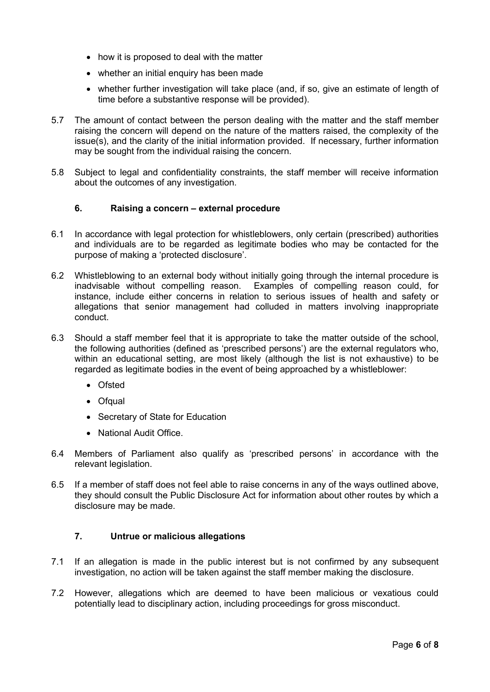- how it is proposed to deal with the matter
- whether an initial enquiry has been made
- whether further investigation will take place (and, if so, give an estimate of length of time before a substantive response will be provided).
- 5.7 The amount of contact between the person dealing with the matter and the staff member raising the concern will depend on the nature of the matters raised, the complexity of the issue(s), and the clarity of the initial information provided. If necessary, further information may be sought from the individual raising the concern.
- 5.8 Subject to legal and confidentiality constraints, the staff member will receive information about the outcomes of any investigation.

#### <span id="page-5-0"></span>**6. Raising a concern – external procedure**

- 6.1 In accordance with legal protection for whistleblowers, only certain (prescribed) authorities and individuals are to be regarded as legitimate bodies who may be contacted for the purpose of making a 'protected disclosure'.
- 6.2 Whistleblowing to an external body without initially going through the internal procedure is inadvisable without compelling reason. Examples of compelling reason could, for instance, include either concerns in relation to serious issues of health and safety or allegations that senior management had colluded in matters involving inappropriate conduct.
- 6.3 Should a staff member feel that it is appropriate to take the matter outside of the school, the following authorities (defined as 'prescribed persons') are the external regulators who, within an educational setting, are most likely (although the list is not exhaustive) to be regarded as legitimate bodies in the event of being approached by a whistleblower:
	- Ofsted
	- Ofqual
	- Secretary of State for Education
	- National Audit Office.
- 6.4 Members of Parliament also qualify as 'prescribed persons' in accordance with the relevant legislation.
- 6.5 If a member of staff does not feel able to raise concerns in any of the ways outlined above, they should consult the Public Disclosure Act for information about other routes by which a disclosure may be made.

#### <span id="page-5-1"></span>**7. Untrue or malicious allegations**

- 7.1 If an allegation is made in the public interest but is not confirmed by any subsequent investigation, no action will be taken against the staff member making the disclosure.
- 7.2 However, allegations which are deemed to have been malicious or vexatious could potentially lead to disciplinary action, including proceedings for gross misconduct.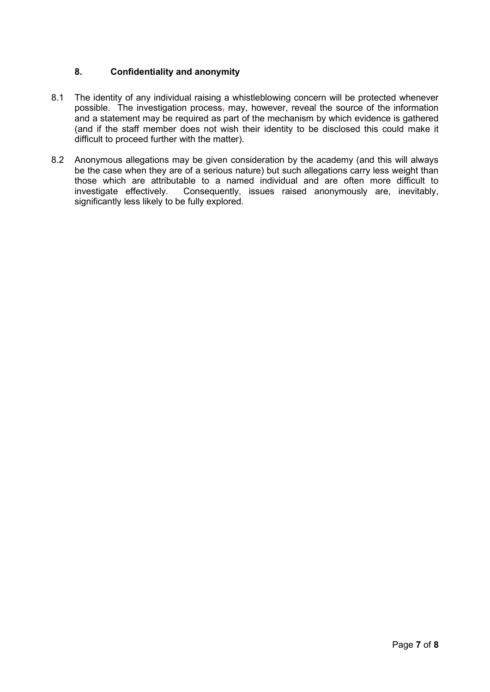#### <span id="page-6-0"></span>**8. Confidentiality and anonymity**

- 8.1 The identity of any individual raising a whistleblowing concern will be protected whenever possible. The investigation process, may, however, reveal the source of the information and a statement may be required as part of the mechanism by which evidence is gathered (and if the staff member does not wish their identity to be disclosed this could make it difficult to proceed further with the matter).
- 8.2 Anonymous allegations may be given consideration by the academy (and this will always be the case when they are of a serious nature) but such allegations carry less weight than those which are attributable to a named individual and are often more difficult to investigate effectively. Consequently, issues raised anonymously are, inevitably. Consequently, issues raised anonymously are, inevitably, significantly less likely to be fully explored.